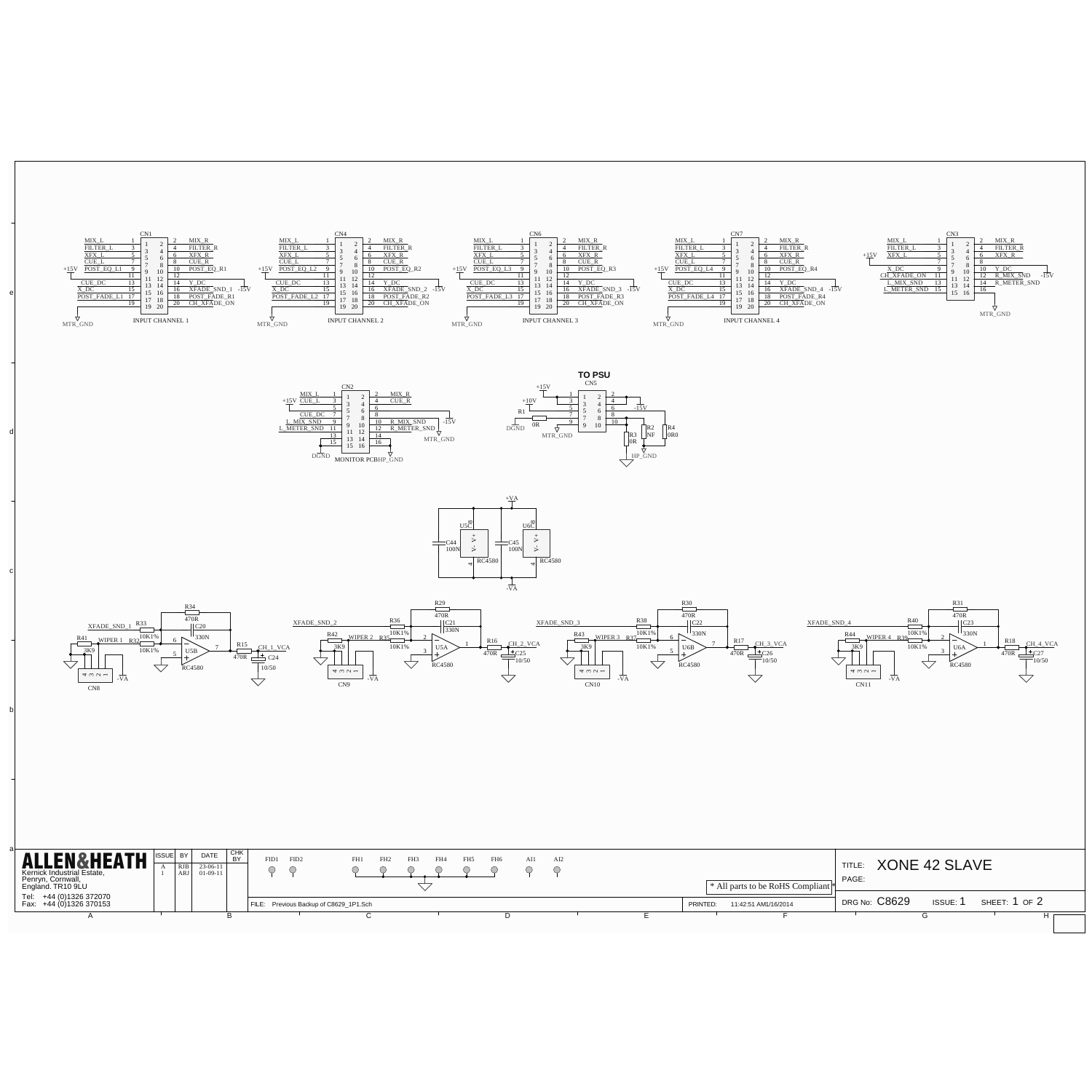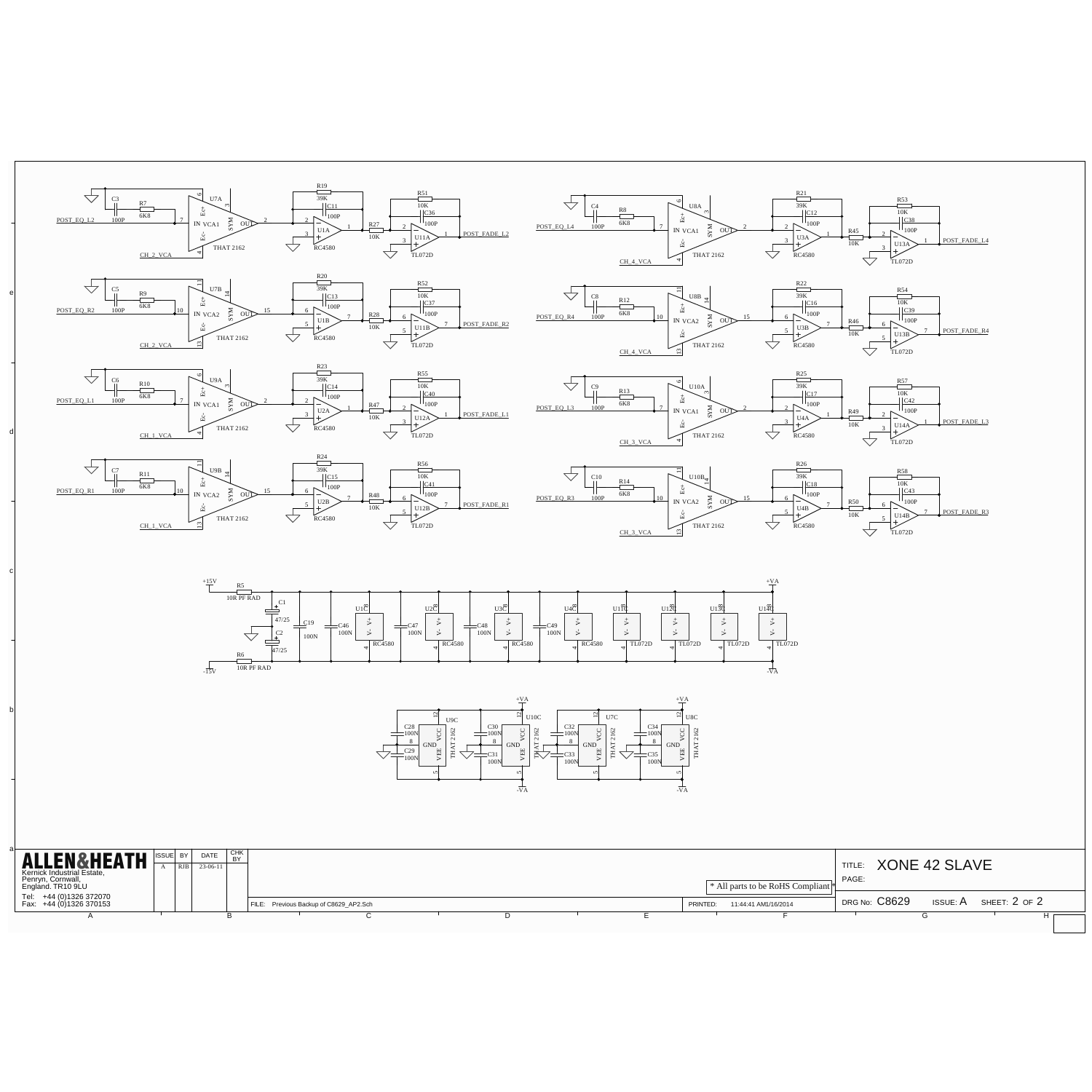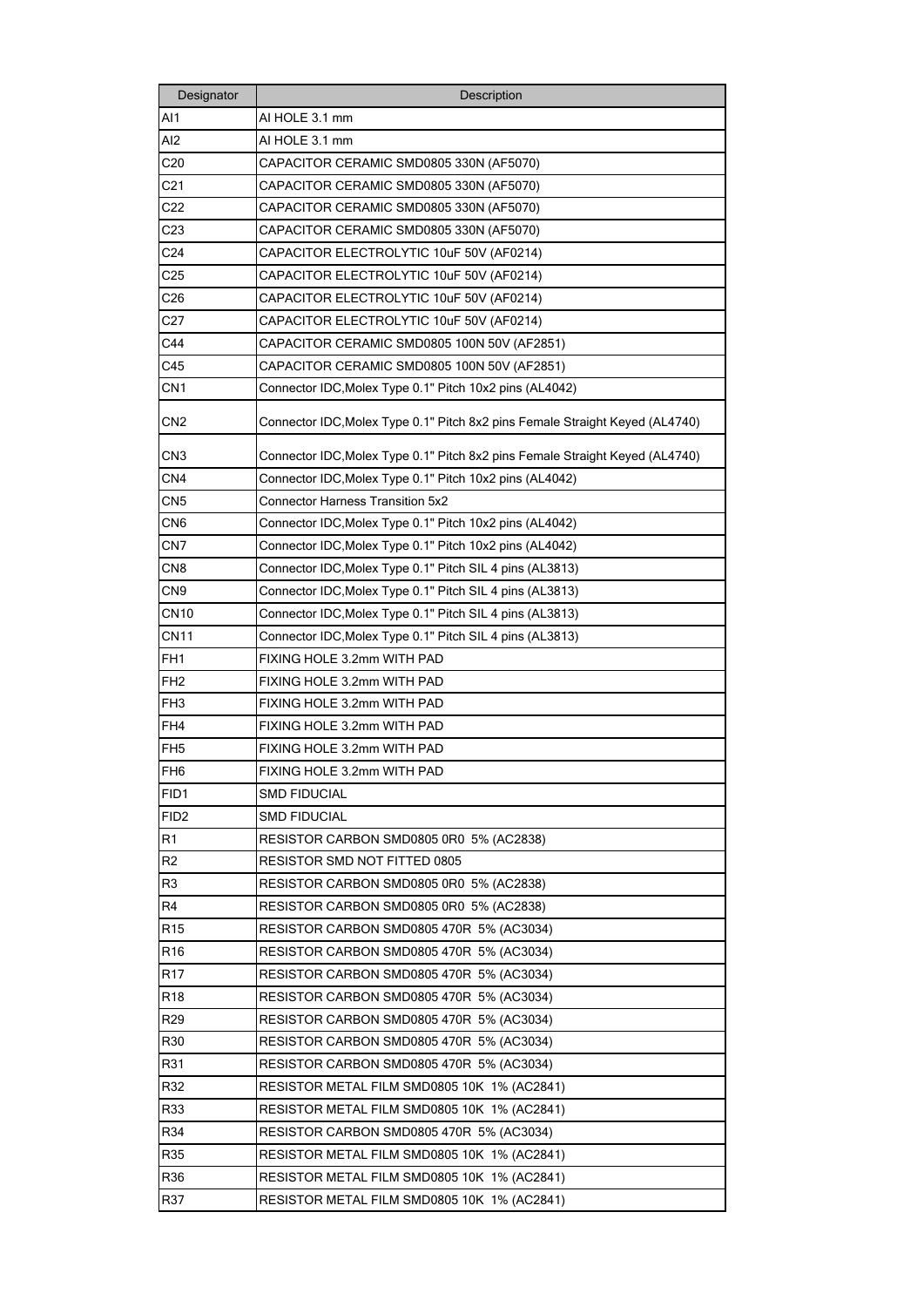| Designator       | Description                                                                  |
|------------------|------------------------------------------------------------------------------|
| AI1              | AI HOLE 3.1 mm                                                               |
| AI <sub>2</sub>  | AI HOLE 3.1 mm                                                               |
| C <sub>20</sub>  | CAPACITOR CERAMIC SMD0805 330N (AF5070)                                      |
| C <sub>21</sub>  | CAPACITOR CERAMIC SMD0805 330N (AF5070)                                      |
| C22              | CAPACITOR CERAMIC SMD0805 330N (AF5070)                                      |
| C <sub>23</sub>  | CAPACITOR CERAMIC SMD0805 330N (AF5070)                                      |
| C <sub>24</sub>  | CAPACITOR ELECTROLYTIC 10uF 50V (AF0214)                                     |
| C <sub>25</sub>  | CAPACITOR ELECTROLYTIC 10uF 50V (AF0214)                                     |
| C26              | CAPACITOR ELECTROLYTIC 10uF 50V (AF0214)                                     |
| C27              | CAPACITOR ELECTROLYTIC 10uF 50V (AF0214)                                     |
| C44              | CAPACITOR CERAMIC SMD0805 100N 50V (AF2851)                                  |
| C45              | CAPACITOR CERAMIC SMD0805 100N 50V (AF2851)                                  |
| CN <sub>1</sub>  | Connector IDC, Molex Type 0.1" Pitch 10x2 pins (AL4042)                      |
|                  |                                                                              |
| CN <sub>2</sub>  | Connector IDC, Molex Type 0.1" Pitch 8x2 pins Female Straight Keyed (AL4740) |
| CN <sub>3</sub>  | Connector IDC, Molex Type 0.1" Pitch 8x2 pins Female Straight Keyed (AL4740) |
| CN <sub>4</sub>  | Connector IDC, Molex Type 0.1" Pitch 10x2 pins (AL4042)                      |
| CN <sub>5</sub>  | <b>Connector Harness Transition 5x2</b>                                      |
| CN <sub>6</sub>  | Connector IDC, Molex Type 0.1" Pitch 10x2 pins (AL4042)                      |
| CN7              | Connector IDC, Molex Type 0.1" Pitch 10x2 pins (AL4042)                      |
| CN8              | Connector IDC, Molex Type 0.1" Pitch SIL 4 pins (AL3813)                     |
| CN <sub>9</sub>  | Connector IDC, Molex Type 0.1" Pitch SIL 4 pins (AL3813)                     |
| <b>CN10</b>      | Connector IDC, Molex Type 0.1" Pitch SIL 4 pins (AL3813)                     |
| <b>CN11</b>      | Connector IDC, Molex Type 0.1" Pitch SIL 4 pins (AL3813)                     |
| FH <sub>1</sub>  | FIXING HOLE 3.2mm WITH PAD                                                   |
| FH <sub>2</sub>  | FIXING HOLE 3.2mm WITH PAD                                                   |
| FH <sub>3</sub>  | FIXING HOLE 3.2mm WITH PAD                                                   |
| FH <sub>4</sub>  | FIXING HOLE 3.2mm WITH PAD                                                   |
| FH <sub>5</sub>  | FIXING HOLE 3.2mm WITH PAD                                                   |
| FH <sub>6</sub>  | FIXING HOLE 3.2mm WITH PAD                                                   |
| FID1             | <b>SMD FIDUCIAL</b>                                                          |
| FID <sub>2</sub> | <b>SMD FIDUCIAL</b>                                                          |
| R <sub>1</sub>   | RESISTOR CARBON SMD0805 0R0 5% (AC2838)                                      |
| R <sub>2</sub>   | RESISTOR SMD NOT FITTED 0805                                                 |
| R <sub>3</sub>   | RESISTOR CARBON SMD0805 0R0 5% (AC2838)                                      |
| R4               | RESISTOR CARBON SMD0805 0R0 5% (AC2838)                                      |
| R <sub>15</sub>  | RESISTOR CARBON SMD0805 470R 5% (AC3034)                                     |
| R <sub>16</sub>  | RESISTOR CARBON SMD0805 470R 5% (AC3034)                                     |
| R <sub>17</sub>  | RESISTOR CARBON SMD0805 470R 5% (AC3034)                                     |
| R <sub>18</sub>  | RESISTOR CARBON SMD0805 470R 5% (AC3034)                                     |
| R <sub>29</sub>  | RESISTOR CARBON SMD0805 470R 5% (AC3034)                                     |
| R30              | RESISTOR CARBON SMD0805 470R 5% (AC3034)                                     |
| R31              | RESISTOR CARBON SMD0805 470R 5% (AC3034)                                     |
| R32              | RESISTOR METAL FILM SMD0805 10K 1% (AC2841)                                  |
| R33              | RESISTOR METAL FILM SMD0805 10K 1% (AC2841)                                  |
| R34              | RESISTOR CARBON SMD0805 470R 5% (AC3034)                                     |
| R35              | RESISTOR METAL FILM SMD0805 10K 1% (AC2841)                                  |
| R36              | RESISTOR METAL FILM SMD0805 10K 1% (AC2841)                                  |
| R37              | RESISTOR METAL FILM SMD0805 10K 1% (AC2841)                                  |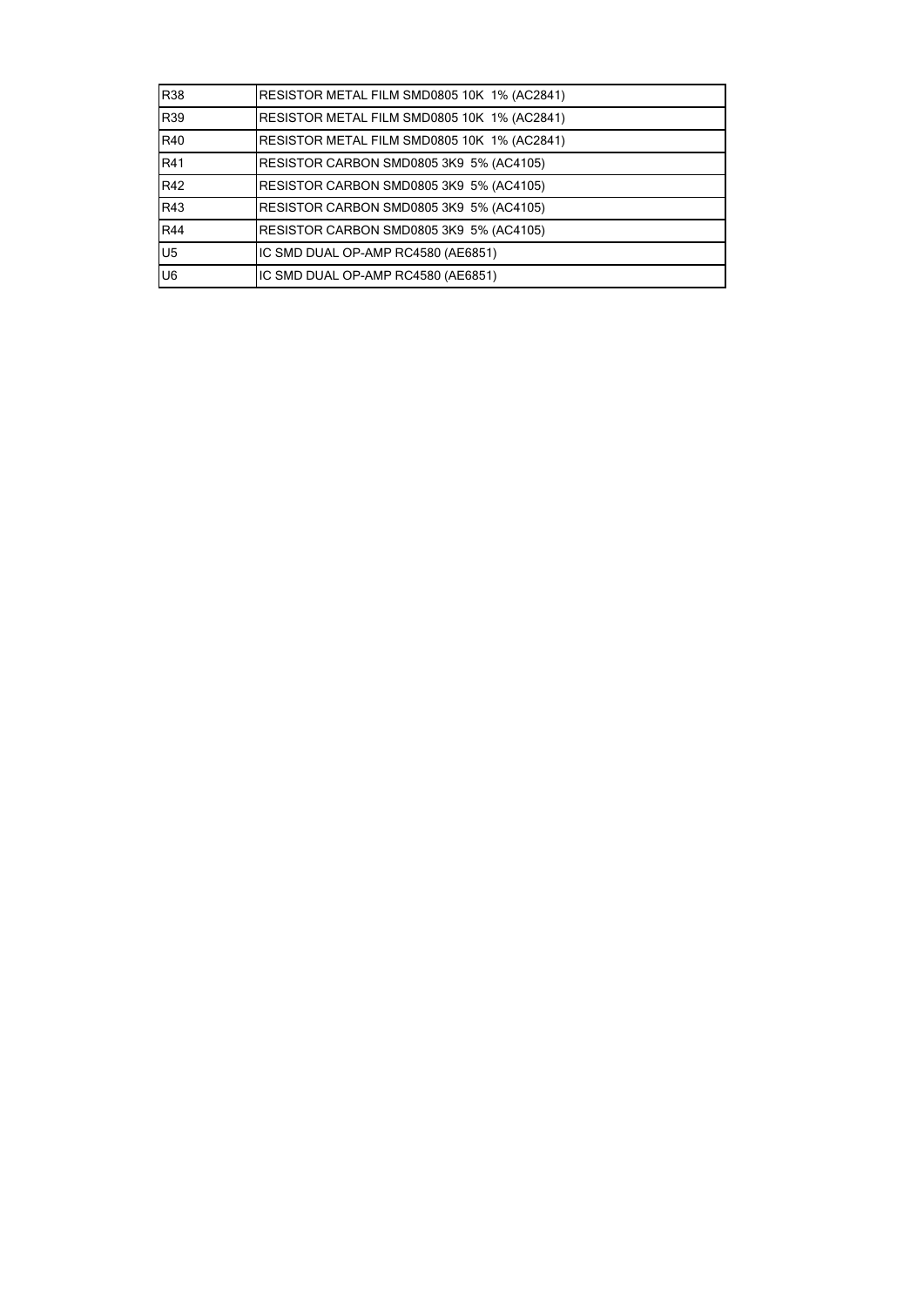| R38            | RESISTOR METAL FILM SMD0805 10K 1% (AC2841) |
|----------------|---------------------------------------------|
| R39            | RESISTOR METAL FILM SMD0805 10K 1% (AC2841) |
| R40            | RESISTOR METAL FILM SMD0805 10K 1% (AC2841) |
| R41            | RESISTOR CARBON SMD0805 3K9 5% (AC4105)     |
| R42            | RESISTOR CARBON SMD0805 3K9 5% (AC4105)     |
| R43            | RESISTOR CARBON SMD0805 3K9 5% (AC4105)     |
| R44            | RESISTOR CARBON SMD0805 3K9 5% (AC4105)     |
| U <sub>5</sub> | IC SMD DUAL OP-AMP RC4580 (AE6851)          |
| U6             | IC SMD DUAL OP-AMP RC4580 (AE6851)          |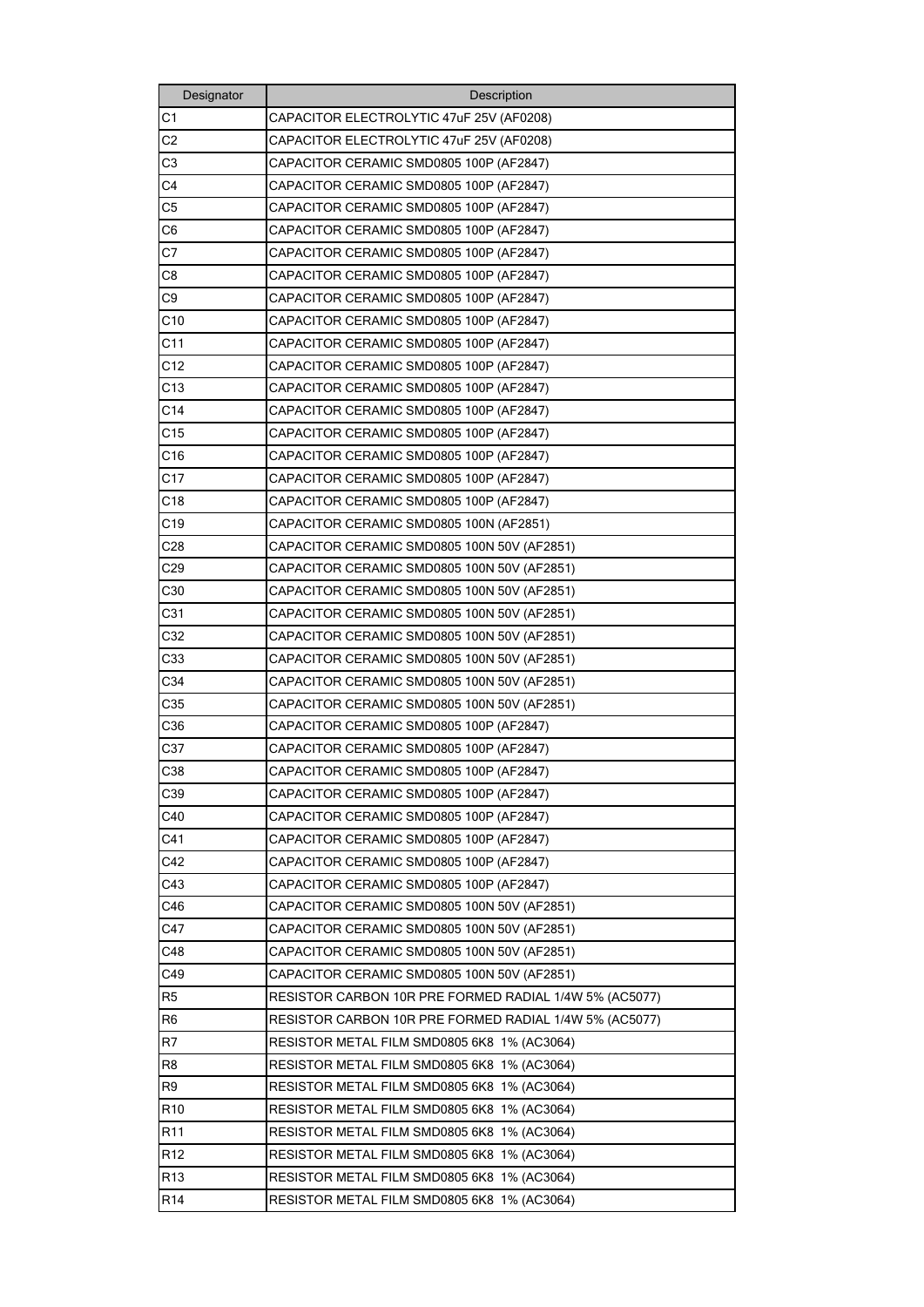| Designator      | Description                                            |
|-----------------|--------------------------------------------------------|
| C <sub>1</sub>  | CAPACITOR ELECTROLYTIC 47uF 25V (AF0208)               |
| C <sub>2</sub>  | CAPACITOR ELECTROLYTIC 47uF 25V (AF0208)               |
| C <sub>3</sub>  | CAPACITOR CERAMIC SMD0805 100P (AF2847)                |
| C4              | CAPACITOR CERAMIC SMD0805 100P (AF2847)                |
| C <sub>5</sub>  | CAPACITOR CERAMIC SMD0805 100P (AF2847)                |
| C6              | CAPACITOR CERAMIC SMD0805 100P (AF2847)                |
| C7              | CAPACITOR CERAMIC SMD0805 100P (AF2847)                |
| C8              | CAPACITOR CERAMIC SMD0805 100P (AF2847)                |
| C9              | CAPACITOR CERAMIC SMD0805 100P (AF2847)                |
| C10             | CAPACITOR CERAMIC SMD0805 100P (AF2847)                |
| C <sub>11</sub> | CAPACITOR CERAMIC SMD0805 100P (AF2847)                |
| C12             | CAPACITOR CERAMIC SMD0805 100P (AF2847)                |
| C13             | CAPACITOR CERAMIC SMD0805 100P (AF2847)                |
| C14             | CAPACITOR CERAMIC SMD0805 100P (AF2847)                |
| C <sub>15</sub> | CAPACITOR CERAMIC SMD0805 100P (AF2847)                |
| C <sub>16</sub> | CAPACITOR CERAMIC SMD0805 100P (AF2847)                |
| C <sub>17</sub> | CAPACITOR CERAMIC SMD0805 100P (AF2847)                |
| C <sub>18</sub> | CAPACITOR CERAMIC SMD0805 100P (AF2847)                |
| C19             | CAPACITOR CERAMIC SMD0805 100N (AF2851)                |
| C <sub>28</sub> | CAPACITOR CERAMIC SMD0805 100N 50V (AF2851)            |
| C29             | CAPACITOR CERAMIC SMD0805 100N 50V (AF2851)            |
| C30             | CAPACITOR CERAMIC SMD0805 100N 50V (AF2851)            |
| C31             | CAPACITOR CERAMIC SMD0805 100N 50V (AF2851)            |
| C32             | CAPACITOR CERAMIC SMD0805 100N 50V (AF2851)            |
| C33             | CAPACITOR CERAMIC SMD0805 100N 50V (AF2851)            |
| C34             | CAPACITOR CERAMIC SMD0805 100N 50V (AF2851)            |
| C35             | CAPACITOR CERAMIC SMD0805 100N 50V (AF2851)            |
| C36             | CAPACITOR CERAMIC SMD0805 100P (AF2847)                |
| C37             | CAPACITOR CERAMIC SMD0805 100P (AF2847)                |
| C38             | CAPACITOR CERAMIC SMD0805 100P (AF2847)                |
| C39             | CAPACITOR CERAMIC SMD0805 100P (AF2847)                |
| C40             | CAPACITOR CERAMIC SMD0805 100P (AF2847)                |
| C41             | CAPACITOR CERAMIC SMD0805 100P (AF2847)                |
| C42             | CAPACITOR CERAMIC SMD0805 100P (AF2847)                |
| C43             | CAPACITOR CERAMIC SMD0805 100P (AF2847)                |
| C46             | CAPACITOR CERAMIC SMD0805 100N 50V (AF2851)            |
| C47             | CAPACITOR CERAMIC SMD0805 100N 50V (AF2851)            |
| C48             | CAPACITOR CERAMIC SMD0805 100N 50V (AF2851)            |
| C49             | CAPACITOR CERAMIC SMD0805 100N 50V (AF2851)            |
| R <sub>5</sub>  | RESISTOR CARBON 10R PRE FORMED RADIAL 1/4W 5% (AC5077) |
| R <sub>6</sub>  | RESISTOR CARBON 10R PRE FORMED RADIAL 1/4W 5% (AC5077) |
| R7              | RESISTOR METAL FILM SMD0805 6K8 1% (AC3064)            |
| R8              | RESISTOR METAL FILM SMD0805 6K8 1% (AC3064)            |
| R9              | RESISTOR METAL FILM SMD0805 6K8 1% (AC3064)            |
| R <sub>10</sub> | RESISTOR METAL FILM SMD0805 6K8 1% (AC3064)            |
| R <sub>11</sub> | RESISTOR METAL FILM SMD0805 6K8 1% (AC3064)            |
| R <sub>12</sub> | RESISTOR METAL FILM SMD0805 6K8 1% (AC3064)            |
| R <sub>13</sub> | RESISTOR METAL FILM SMD0805 6K8 1% (AC3064)            |
| R <sub>14</sub> | RESISTOR METAL FILM SMD0805 6K8 1% (AC3064)            |